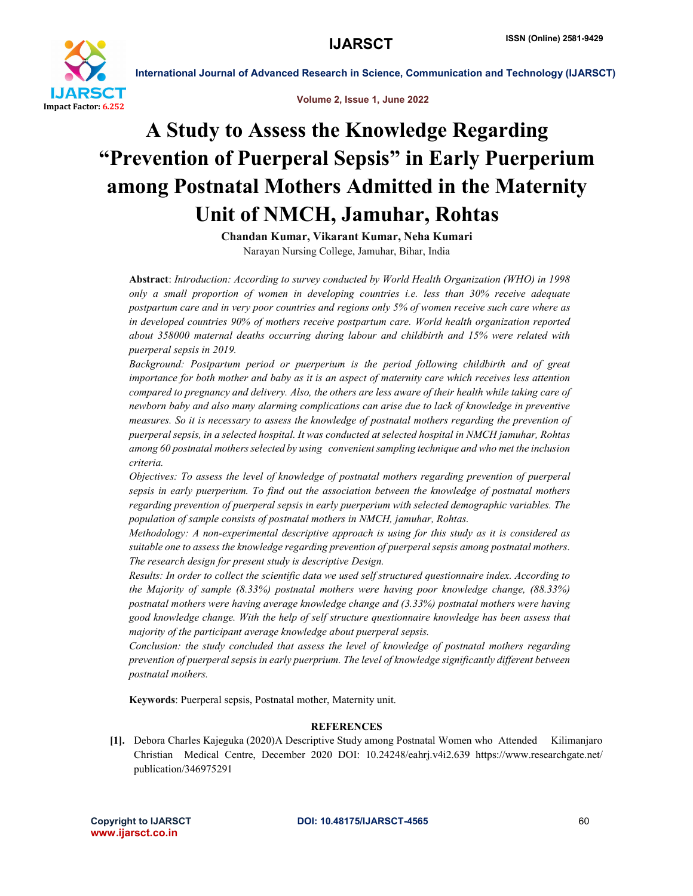

International Journal of Advanced Research in Science, Communication and Technology (IJARSCT)



# A Study to Assess the Knowledge Regarding "Prevention of Puerperal Sepsis" in Early Puerperium among Postnatal Mothers Admitted in the Maternity Unit of NMCH, Jamuhar, Rohtas

Chandan Kumar, Vikarant Kumar, Neha Kumari Narayan Nursing College, Jamuhar, Bihar, India

Abstract: *Introduction: According to survey conducted by World Health Organization (WHO) in 1998 only a small proportion of women in developing countries i.e. less than 30% receive adequate postpartum care and in very poor countries and regions only 5% of women receive such care where as in developed countries 90% of mothers receive postpartum care. World health organization reported about 358000 maternal deaths occurring during labour and childbirth and 15% were related with puerperal sepsis in 2019.* 

*Background: Postpartum period or puerperium is the period following childbirth and of great importance for both mother and baby as it is an aspect of maternity care which receives less attention compared to pregnancy and delivery. Also, the others are less aware of their health while taking care of newborn baby and also many alarming complications can arise due to lack of knowledge in preventive measures. So it is necessary to assess the knowledge of postnatal mothers regarding the prevention of puerperal sepsis, in a selected hospital. It was conducted at selected hospital in NMCH jamuhar, Rohtas among 60 postnatal mothers selected by using convenient sampling technique and who met the inclusion criteria.* 

*Objectives: To assess the level of knowledge of postnatal mothers regarding prevention of puerperal sepsis in early puerperium. To find out the association between the knowledge of postnatal mothers regarding prevention of puerperal sepsis in early puerperium with selected demographic variables. The population of sample consists of postnatal mothers in NMCH, jamuhar, Rohtas.* 

*Methodology: A non-experimental descriptive approach is using for this study as it is considered as suitable one to assess the knowledge regarding prevention of puerperal sepsis among postnatal mothers. The research design for present study is descriptive Design.* 

*Results: In order to collect the scientific data we used self structured questionnaire index. According to the Majority of sample (8.33%) postnatal mothers were having poor knowledge change, (88.33%) postnatal mothers were having average knowledge change and (3.33%) postnatal mothers were having good knowledge change. With the help of self structure questionnaire knowledge has been assess that majority of the participant average knowledge about puerperal sepsis.* 

*Conclusion: the study concluded that assess the level of knowledge of postnatal mothers regarding prevention of puerperal sepsis in early puerprium. The level of knowledge significantly different between postnatal mothers.*

Keywords: Puerperal sepsis, Postnatal mother, Maternity unit.

## **REFERENCES**

[1]. Debora Charles Kajeguka (2020)A Descriptive Study among Postnatal Women who Attended Kilimanjaro Christian Medical Centre, December 2020 DOI: 10.24248/eahrj.v4i2.639 https://www.researchgate.net/ publication/346975291

www.ijarsct.co.in

Copyright to IJARSCT **DOI: 10.48175/IJARSCT-4565** 60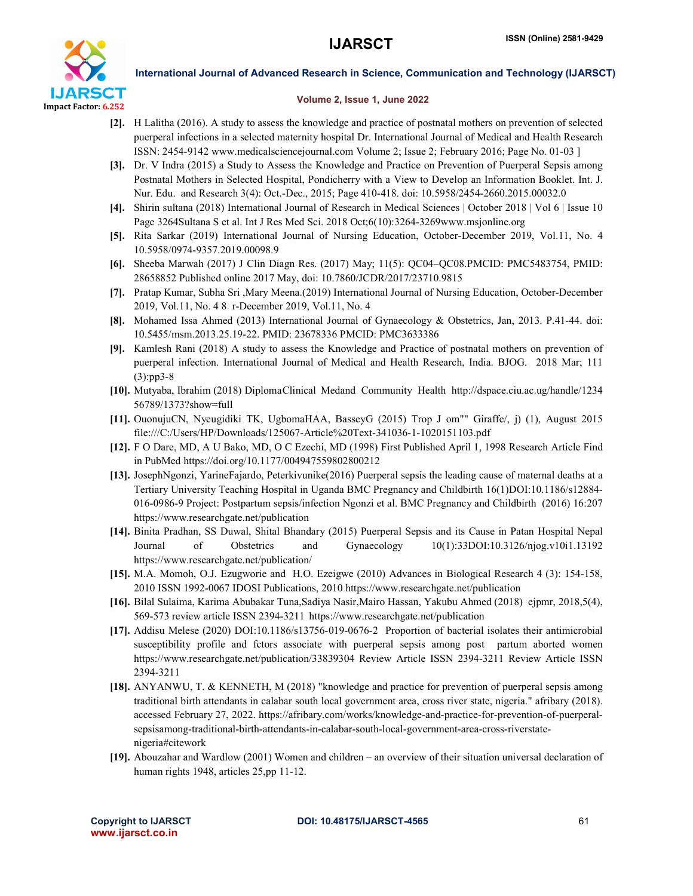

International Journal of Advanced Research in Science, Communication and Technology (IJARSCT)

### Volume 2, Issue 1, June 2022

- [2]. H Lalitha (2016). A study to assess the knowledge and practice of postnatal mothers on prevention of selected puerperal infections in a selected maternity hospital Dr. International Journal of Medical and Health Research ISSN: 2454-9142 www.medicalsciencejournal.com Volume 2; Issue 2; February 2016; Page No. 01-03 ]
- [3]. Dr. V Indra (2015) a Study to Assess the Knowledge and Practice on Prevention of Puerperal Sepsis among Postnatal Mothers in Selected Hospital, Pondicherry with a View to Develop an Information Booklet. Int. J. Nur. Edu. and Research 3(4): Oct.-Dec., 2015; Page 410-418. doi: 10.5958/2454-2660.2015.00032.0
- [4]. Shirin sultana (2018) International Journal of Research in Medical Sciences | October 2018 | Vol 6 | Issue 10 Page 3264Sultana S et al. Int J Res Med Sci. 2018 Oct;6(10):3264-3269www.msjonline.org
- [5]. Rita Sarkar (2019) International Journal of Nursing Education, October-December 2019, Vol.11, No. 4 10.5958/0974-9357.2019.00098.9
- [6]. Sheeba Marwah (2017) J Clin Diagn Res. (2017) May; 11(5): QC04–QC08.PMCID: PMC5483754, PMID: 28658852 Published online 2017 May, doi: 10.7860/JCDR/2017/23710.9815
- [7]. Pratap Kumar, Subha Sri ,Mary Meena.(2019) International Journal of Nursing Education, October-December 2019, Vol.11, No. 4 8 r-December 2019, Vol.11, No. 4
- [8]. Mohamed Issa Ahmed (2013) International Journal of Gynaecology & Obstetrics, Jan, 2013. P.41-44. doi: 10.5455/msm.2013.25.19-22. PMID: 23678336 PMCID: PMC3633386
- [9]. Kamlesh Rani (2018) A study to assess the Knowledge and Practice of postnatal mothers on prevention of puerperal infection. International Journal of Medical and Health Research, India. BJOG. 2018 Mar; 111 (3):pp3-8
- [10]. Mutyaba, Ibrahim (2018) DiplomaClinical Medand Community Health http://dspace.ciu.ac.ug/handle/1234 56789/1373?show=full
- [11]. OuonujuCN, Nyeugidiki TK, UgbomaHAA, BasseyG (2015) Trop J om"" Giraffe/, j) (1), August 2015 file:///C:/Users/HP/Downloads/125067-Article%20Text-341036-1-1020151103.pdf
- [12]. F O Dare, MD, A U Bako, MD, O C Ezechi, MD (1998) First Published April 1, 1998 Research Article Find in PubMed https://doi.org/10.1177/004947559802800212
- [13]. JosephNgonzi, YarineFajardo, Peterkivunike(2016) Puerperal sepsis the leading cause of maternal deaths at a Tertiary University Teaching Hospital in Uganda BMC Pregnancy and Childbirth 16(1)DOI:10.1186/s12884- 016-0986-9 Project: Postpartum sepsis/infection Ngonzi et al. BMC Pregnancy and Childbirth (2016) 16:207 https://www.researchgate.net/publication
- [14]. Binita Pradhan, SS Duwal, Shital Bhandary (2015) Puerperal Sepsis and its Cause in Patan Hospital Nepal Journal of Obstetrics and Gynaecology 10(1):33DOI:10.3126/njog.v10i1.13192 https://www.researchgate.net/publication/
- [15]. M.A. Momoh, O.J. Ezugworie and H.O. Ezeigwe (2010) Advances in Biological Research 4 (3): 154-158, 2010 ISSN 1992-0067 IDOSI Publications, 2010 https://www.researchgate.net/publication
- [16]. Bilal Sulaima, Karima Abubakar Tuna,Sadiya Nasir,Mairo Hassan, Yakubu Ahmed (2018) ejpmr, 2018,5(4), 569-573 review article ISSN 2394-3211 https://www.researchgate.net/publication
- [17]. Addisu Melese (2020) DOI:10.1186/s13756-019-0676-2 Proportion of bacterial isolates their antimicrobial susceptibility profile and fctors associate with puerperal sepsis among post partum aborted women https://www.researchgate.net/publication/33839304 Review Article ISSN 2394-3211 Review Article ISSN 2394-3211
- [18]. ANYANWU, T. & KENNETH, M (2018) "knowledge and practice for prevention of puerperal sepsis among traditional birth attendants in calabar south local government area, cross river state, nigeria." afribary (2018). accessed February 27, 2022. https://afribary.com/works/knowledge-and-practice-for-prevention-of-puerperalsepsisamong-traditional-birth-attendants-in-calabar-south-local-government-area-cross-riverstatenigeria#citework
- [19]. Abouzahar and Wardlow (2001) Women and children an overview of their situation universal declaration of human rights 1948, articles 25,pp 11-12.